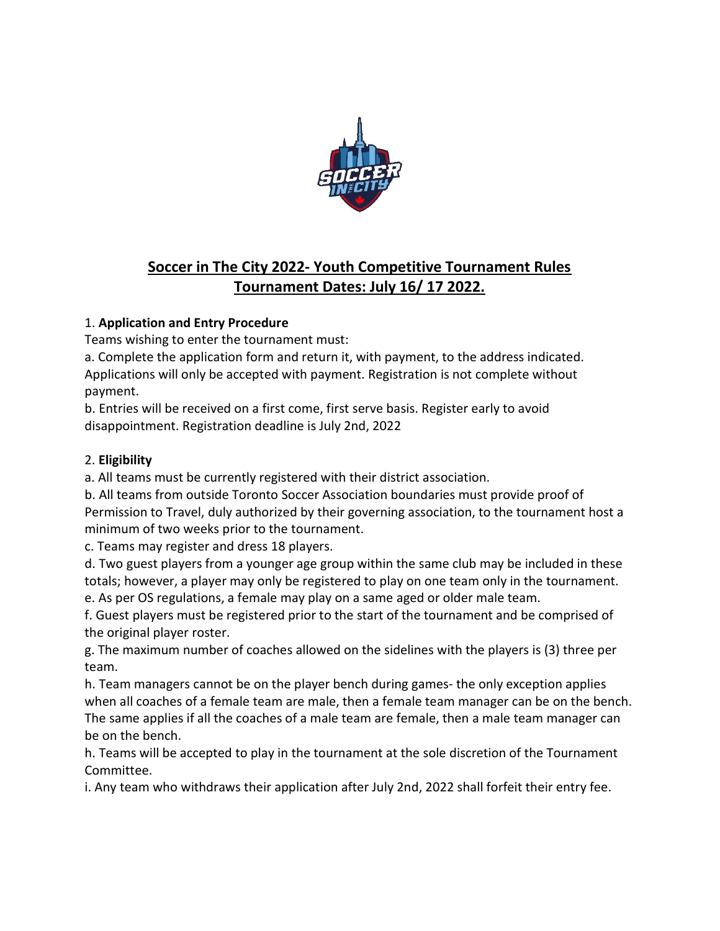

# Soccer in The City 2022- Youth Competitive Tournament Rules Tournament Dates: July 16/ 17 2022.

# 1. Application and Entry Procedure

Teams wishing to enter the tournament must:

a. Complete the application form and return it, with payment, to the address indicated. Applications will only be accepted with payment. Registration is not complete without payment.

b. Entries will be received on a first come, first serve basis. Register early to avoid disappointment. Registration deadline is July 2nd, 2022

# 2. Eligibility

a. All teams must be currently registered with their district association.

b. All teams from outside Toronto Soccer Association boundaries must provide proof of Permission to Travel, duly authorized by their governing association, to the tournament host a minimum of two weeks prior to the tournament.

c. Teams may register and dress 18 players.

d. Two guest players from a younger age group within the same club may be included in these totals; however, a player may only be registered to play on one team only in the tournament. e. As per OS regulations, a female may play on a same aged or older male team.

f. Guest players must be registered prior to the start of the tournament and be comprised of the original player roster.

g. The maximum number of coaches allowed on the sidelines with the players is (3) three per team.

h. Team managers cannot be on the player bench during games- the only exception applies when all coaches of a female team are male, then a female team manager can be on the bench. The same applies if all the coaches of a male team are female, then a male team manager can be on the bench.

h. Teams will be accepted to play in the tournament at the sole discretion of the Tournament Committee.

i. Any team who withdraws their application after July 2nd, 2022 shall forfeit their entry fee.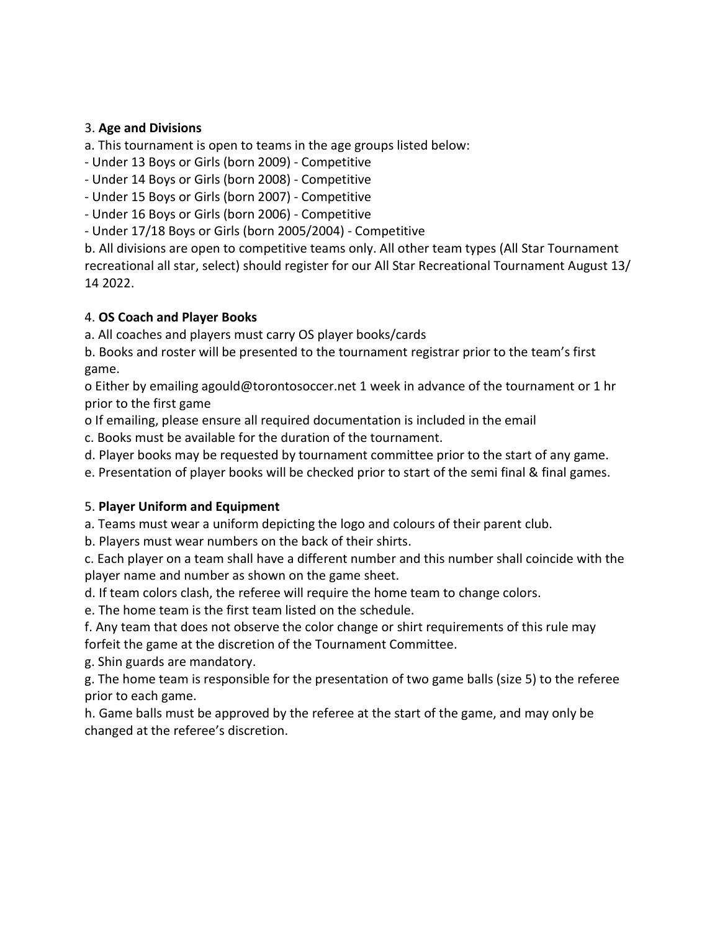#### 3. Age and Divisions

a. This tournament is open to teams in the age groups listed below:

- Under 13 Boys or Girls (born 2009) - Competitive

- Under 14 Boys or Girls (born 2008) - Competitive

- Under 15 Boys or Girls (born 2007) - Competitive

- Under 16 Boys or Girls (born 2006) - Competitive

- Under 17/18 Boys or Girls (born 2005/2004) - Competitive

b. All divisions are open to competitive teams only. All other team types (All Star Tournament recreational all star, select) should register for our All Star Recreational Tournament August 13/ 14 2022.

#### 4. OS Coach and Player Books

a. All coaches and players must carry OS player books/cards

b. Books and roster will be presented to the tournament registrar prior to the team's first game.

o Either by emailing agould@torontosoccer.net 1 week in advance of the tournament or 1 hr prior to the first game

o If emailing, please ensure all required documentation is included in the email

c. Books must be available for the duration of the tournament.

d. Player books may be requested by tournament committee prior to the start of any game.

e. Presentation of player books will be checked prior to start of the semi final & final games.

#### 5. Player Uniform and Equipment

a. Teams must wear a uniform depicting the logo and colours of their parent club.

b. Players must wear numbers on the back of their shirts.

c. Each player on a team shall have a different number and this number shall coincide with the player name and number as shown on the game sheet.

d. If team colors clash, the referee will require the home team to change colors.

e. The home team is the first team listed on the schedule.

f. Any team that does not observe the color change or shirt requirements of this rule may forfeit the game at the discretion of the Tournament Committee.

g. Shin guards are mandatory.

g. The home team is responsible for the presentation of two game balls (size 5) to the referee prior to each game.

h. Game balls must be approved by the referee at the start of the game, and may only be changed at the referee's discretion.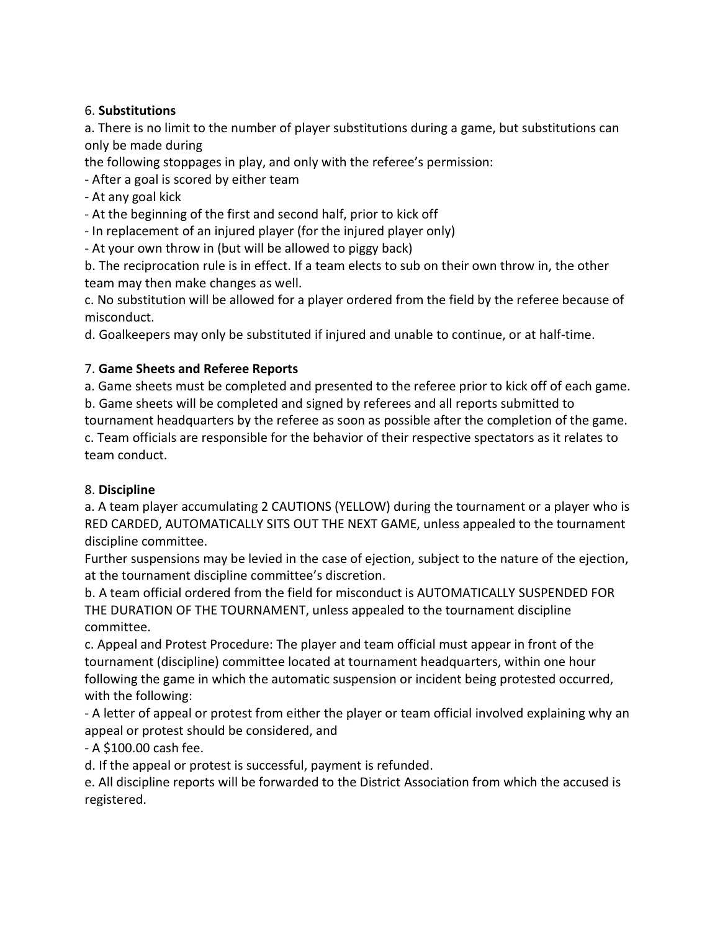#### 6. Substitutions

a. There is no limit to the number of player substitutions during a game, but substitutions can only be made during

the following stoppages in play, and only with the referee's permission:

- After a goal is scored by either team

- At any goal kick

- At the beginning of the first and second half, prior to kick off

- In replacement of an injured player (for the injured player only)

- At your own throw in (but will be allowed to piggy back)

b. The reciprocation rule is in effect. If a team elects to sub on their own throw in, the other team may then make changes as well.

c. No substitution will be allowed for a player ordered from the field by the referee because of misconduct.

d. Goalkeepers may only be substituted if injured and unable to continue, or at half-time.

#### 7. Game Sheets and Referee Reports

a. Game sheets must be completed and presented to the referee prior to kick off of each game. b. Game sheets will be completed and signed by referees and all reports submitted to

tournament headquarters by the referee as soon as possible after the completion of the game. c. Team officials are responsible for the behavior of their respective spectators as it relates to team conduct.

#### 8. Discipline

a. A team player accumulating 2 CAUTIONS (YELLOW) during the tournament or a player who is RED CARDED, AUTOMATICALLY SITS OUT THE NEXT GAME, unless appealed to the tournament discipline committee.

Further suspensions may be levied in the case of ejection, subject to the nature of the ejection, at the tournament discipline committee's discretion.

b. A team official ordered from the field for misconduct is AUTOMATICALLY SUSPENDED FOR THE DURATION OF THE TOURNAMENT, unless appealed to the tournament discipline committee.

c. Appeal and Protest Procedure: The player and team official must appear in front of the tournament (discipline) committee located at tournament headquarters, within one hour following the game in which the automatic suspension or incident being protested occurred, with the following:

- A letter of appeal or protest from either the player or team official involved explaining why an appeal or protest should be considered, and

- A \$100.00 cash fee.

d. If the appeal or protest is successful, payment is refunded.

e. All discipline reports will be forwarded to the District Association from which the accused is registered.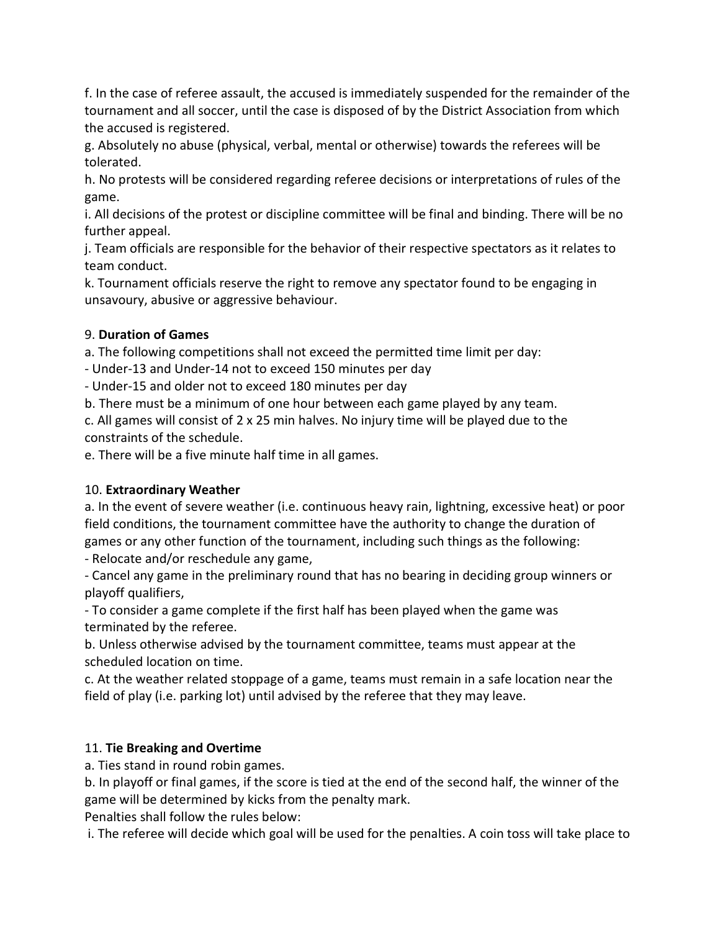f. In the case of referee assault, the accused is immediately suspended for the remainder of the tournament and all soccer, until the case is disposed of by the District Association from which the accused is registered.

g. Absolutely no abuse (physical, verbal, mental or otherwise) towards the referees will be tolerated.

h. No protests will be considered regarding referee decisions or interpretations of rules of the game.

i. All decisions of the protest or discipline committee will be final and binding. There will be no further appeal.

j. Team officials are responsible for the behavior of their respective spectators as it relates to team conduct.

k. Tournament officials reserve the right to remove any spectator found to be engaging in unsavoury, abusive or aggressive behaviour.

### 9. Duration of Games

a. The following competitions shall not exceed the permitted time limit per day:

- Under-13 and Under-14 not to exceed 150 minutes per day

- Under-15 and older not to exceed 180 minutes per day

b. There must be a minimum of one hour between each game played by any team.

c. All games will consist of 2 x 25 min halves. No injury time will be played due to the constraints of the schedule.

e. There will be a five minute half time in all games.

# 10. Extraordinary Weather

a. In the event of severe weather (i.e. continuous heavy rain, lightning, excessive heat) or poor field conditions, the tournament committee have the authority to change the duration of games or any other function of the tournament, including such things as the following:

- Relocate and/or reschedule any game,

- Cancel any game in the preliminary round that has no bearing in deciding group winners or playoff qualifiers,

- To consider a game complete if the first half has been played when the game was terminated by the referee.

b. Unless otherwise advised by the tournament committee, teams must appear at the scheduled location on time.

c. At the weather related stoppage of a game, teams must remain in a safe location near the field of play (i.e. parking lot) until advised by the referee that they may leave.

# 11. Tie Breaking and Overtime

a. Ties stand in round robin games.

b. In playoff or final games, if the score is tied at the end of the second half, the winner of the game will be determined by kicks from the penalty mark.

Penalties shall follow the rules below:

i. The referee will decide which goal will be used for the penalties. A coin toss will take place to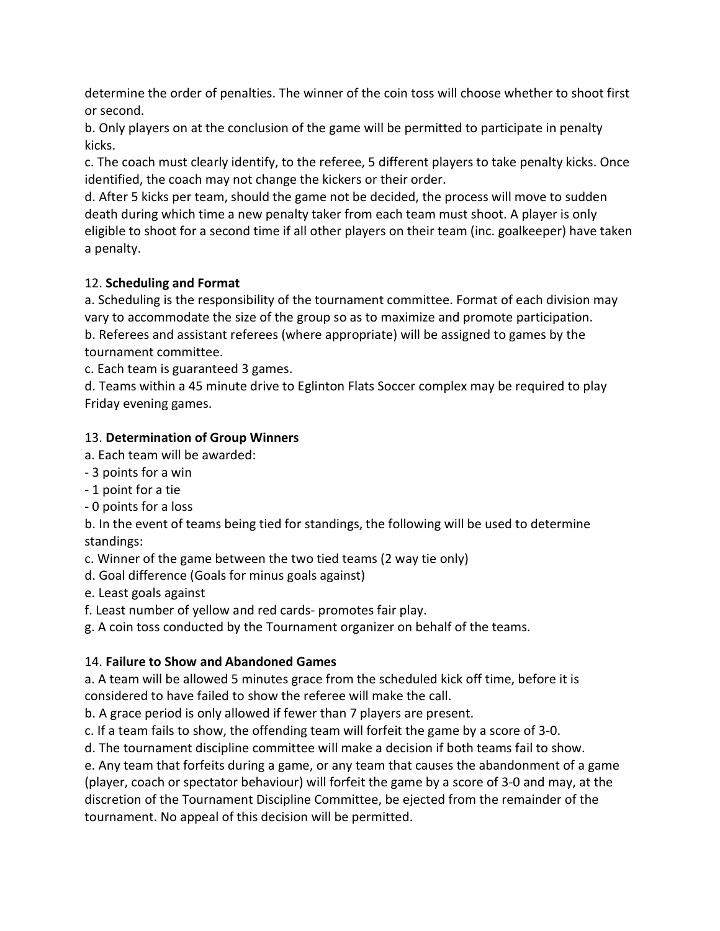determine the order of penalties. The winner of the coin toss will choose whether to shoot first or second.

b. Only players on at the conclusion of the game will be permitted to participate in penalty kicks.

c. The coach must clearly identify, to the referee, 5 different players to take penalty kicks. Once identified, the coach may not change the kickers or their order.

d. After 5 kicks per team, should the game not be decided, the process will move to sudden death during which time a new penalty taker from each team must shoot. A player is only eligible to shoot for a second time if all other players on their team (inc. goalkeeper) have taken a penalty.

# 12. Scheduling and Format

a. Scheduling is the responsibility of the tournament committee. Format of each division may vary to accommodate the size of the group so as to maximize and promote participation. b. Referees and assistant referees (where appropriate) will be assigned to games by the tournament committee.

c. Each team is guaranteed 3 games.

d. Teams within a 45 minute drive to Eglinton Flats Soccer complex may be required to play Friday evening games.

# 13. Determination of Group Winners

a. Each team will be awarded:

- 3 points for a win
- 1 point for a tie

- 0 points for a loss

b. In the event of teams being tied for standings, the following will be used to determine standings:

c. Winner of the game between the two tied teams (2 way tie only)

d. Goal difference (Goals for minus goals against)

e. Least goals against

f. Least number of yellow and red cards- promotes fair play.

g. A coin toss conducted by the Tournament organizer on behalf of the teams.

# 14. Failure to Show and Abandoned Games

a. A team will be allowed 5 minutes grace from the scheduled kick off time, before it is considered to have failed to show the referee will make the call.

b. A grace period is only allowed if fewer than 7 players are present.

c. If a team fails to show, the offending team will forfeit the game by a score of 3-0.

d. The tournament discipline committee will make a decision if both teams fail to show.

e. Any team that forfeits during a game, or any team that causes the abandonment of a game (player, coach or spectator behaviour) will forfeit the game by a score of 3-0 and may, at the discretion of the Tournament Discipline Committee, be ejected from the remainder of the tournament. No appeal of this decision will be permitted.